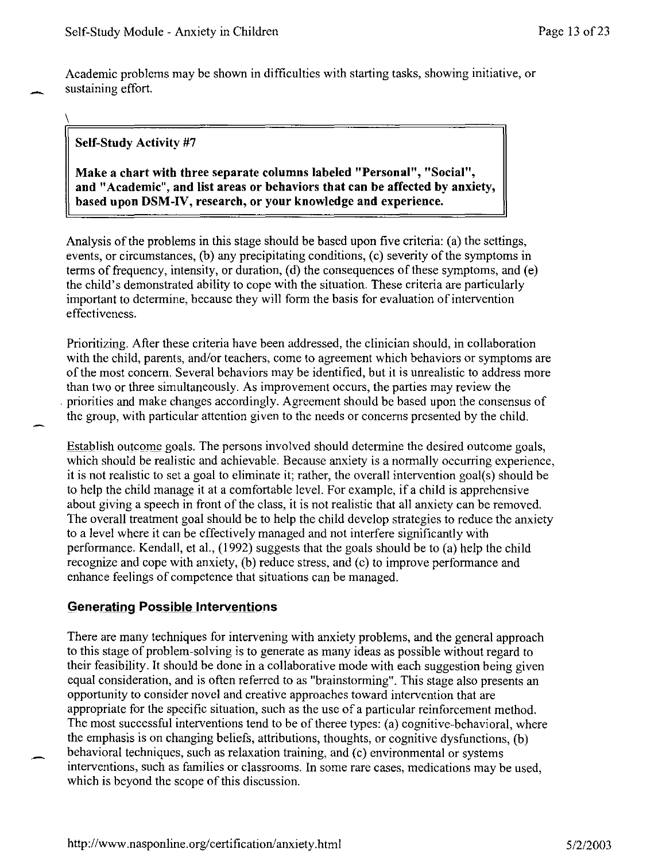Academic problems may be shown in difficulties with starting tasks, showing initiative, or sustaining effort.

**Self-Study Activity #7** 

-

 $\overline{\phantom{a}}$ 

**Make a chart with three separate columns labeled "Personal", "Social", and" Academic", and list areas or behaviors that can be affected by anxiety, based upon DSM-IV, research, or your knowledge and experience.** 

Analysis of the problems in this stage should be based upon five criteria: (a) the settings, events, or circumstances, (b) any precipitating conditions, (c) severity of the symptoms in terms of frequency, intensity, or duration, (d) the consequences of these symptoms, and (e) the child's demonstrated ability to cope with the situation. These criteria are particularly important to determine, because they will form the basis for evaluation of intervention effectiveness.

Prioritizing. After these criteria have been addressed, the clinician should, in collaboration with the child, parents, and/or teachers, come to agreement which behaviors or symptoms are of the most concern. Several behaviors may be identified, but it is unrealistic to address more than two or three simultaneously. As improvement occurs, the parties may review the . priorities and make changes accordingly. Agreement should be based upon the consensus of the group, with particular attention given to the needs or concerns presented by the child.

Establish outcome goals. The persons involved should determine the desired outcome goals, which should be realistic and achievable. Because anxiety is a normally occurring experience, it is not realistic to set a goal to eliminate it; rather, the overall intervention goal(s) should be to help the child manage it at a comfortable level. For example, if a child is apprehensive about giving a speech in front of the class, it is not realistic that all anxiety can be removed. The overall treatment goal should be to help the child develop strategies to reduce the anxiety to a level where it can be effectively managed and not interfere significantly with performance. Kendall, et aI., (1992) suggests that the goals should be to (a) help the child recognize and cope with anxiety, (b) reduce stress, and (c) to improve performance and enhance feelings of competence that situations can be managed.

### **Generating Possible Interventions**

There are many techniques for intervening with anxiety problems, and the general approach to this stage of problem-solving is to generate as many ideas as possible without regard to their feasibility. It should be done in a collaborative mode with each suggestion being given equal consideration, and is often referred to as "brainstorming". This stage also presents an opportunity to consider novel and creative approaches toward intervention that are appropriate for the specific situation, such as the use of a particular reinforcement method. The most successful interventions tend to be of theree types: (a) cognitive-behavioral, where the emphasis is on changing beliefs, attributions, thoughts, or cognitive dysfunctions, (b) behavioral techniques, such as relaxation training, and (c) environmental or systems interventions, such as families or classrooms. In some rare cases, medications may be used, which is beyond the scope of this discussion.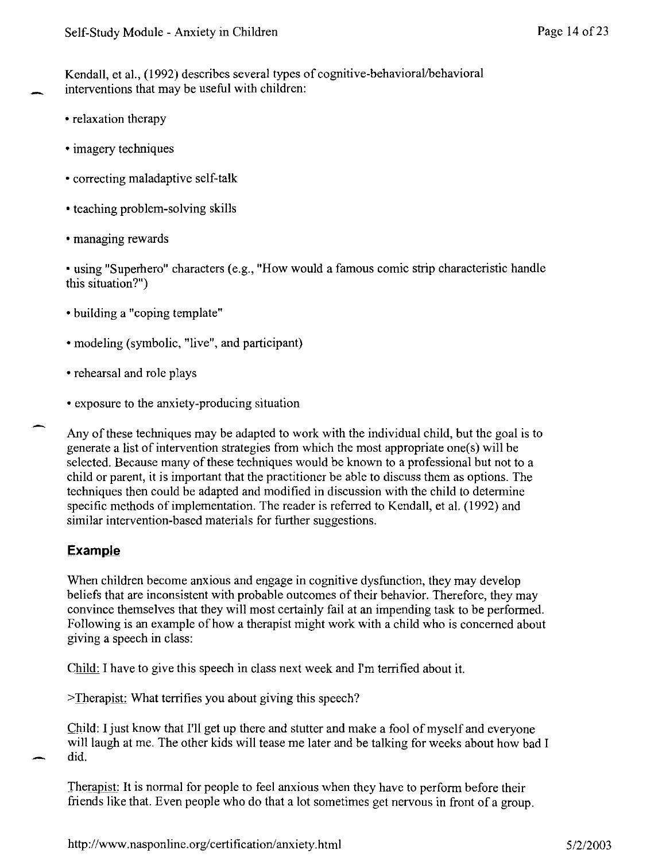Kendall, et al., (1992) describes several types of cognitive-behavioral/behavioral interventions that may be useful with children:

• relaxation therapy

-

- imagery techniques
- correcting maladaptive self-talk
- teaching problem-solving skills
- managing rewards

• using "Superhero" characters (e.g., "How would a famous comic strip characteristic handle this situation?")

- building a "coping template"
- modeling (symbolic, "live", and participant)
- rehearsal and role plays
- exposure to the anxiety-producing situation

Any of these techniques may be adapted to work with the individual child, but the goal is to generate a list of intervention strategies from which the most appropriate one(s) will be selected. Because many of these techniques would be known to a professional but not to a child or parent, it is important that the practitioner be able to discuss them as options. The techniques then could be adapted and modified in discussion with the child to determine specific methods of implementation. The reader is referred to Kendall, et al. (1992) and similar intervention-based materials for further suggestions.

### **Example**

When children become anxious and engage in cognitive dysfunction, they may develop beliefs that are inconsistent with probable outcomes of their behavior. Therefore, they may convince themselves that they will most certainly fail at an impending task to be performed. Following is an example of how a therapist might work with a child who is concerned about giving a speech in class:

Child: I have to give this speech in class next week and I'm terrified about it.

>Therapist: What terrifies you about giving this speech?

Child: I just know that I'll get up there and stutter and make a fool of myself and everyone will laugh at me. The other kids will tease me later and be talking for weeks about how bad I did.

The rapist: It is normal for people to feel anxious when they have to perform before their friends like that. Even people who do that a lot sometimes get nervous in front of a group.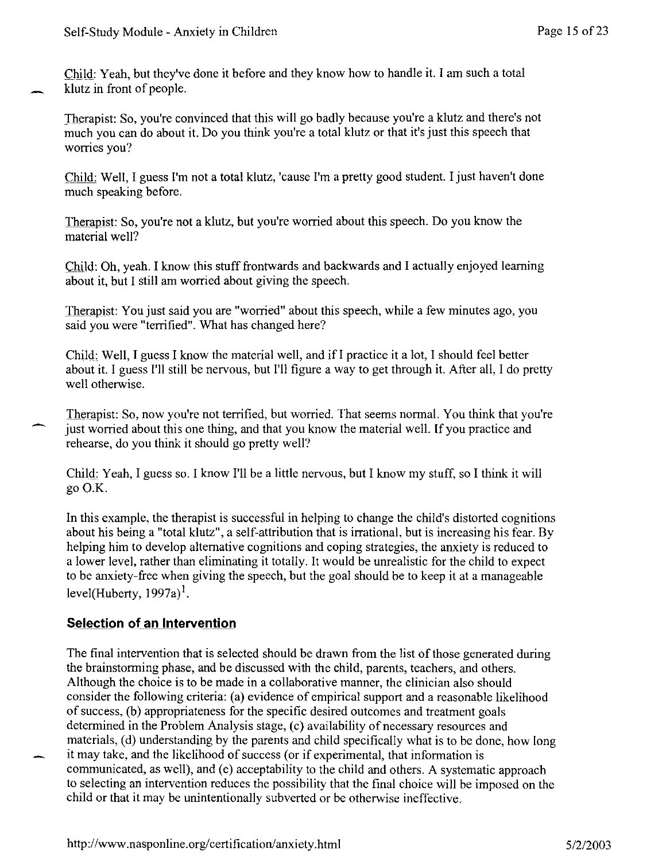Chjld: Yeah, but they've done it before and they know how to handle it. I am such a total klutz in front of people.

Therapist: So, you're convinced that this will go badly because you're a klutz and there's not much you can do about it. Do you think you're a total klutz or that it's just this speech that worries you?

Child: Well, I guess I'm not a total klutz, 'cause I'm a pretty good student. I just haven't done much speaking before.

Therapist: So, you're not a klutz, but you're worried about this speech. Do you know the material well?

Child: Oh, yeah. I know this stuff frontwards and backwards and I actually enjoyed learning about it, but I still am worried about giving the speech.

The rapist: You just said you are "worried" about this speech, while a few minutes ago, you said you were "terrified". What has changed here?

Child: Well, I guess I know the material well, and if I practice it a lot, I should feel better about it. I guess I'll still be nervous, but I'll figure a way to get through it. After all, I do pretty well otherwise.

Thempist: So, now you're not terrified, but worried. That seems normal. You think that you're just worried about this one thing, and that you know the material well. If you practice and rehearse, do you think it should go pretty well?

Child: Yeah, I guess so. I know I'll be a little nervous, but I know my stuff, so I think it will go O.K.

In this example, the therapist is successful in helping to change the child's distorted cognitions about his being a "total klutz", a self-attribution that is irrational, but is increasing his fear. By helping him to develop alternative cognitions and coping strategies, the anxiety is reduced to a lower level, rather than eliminating it totally. It would be unrealistic for the child to expect to be anxiety-free when giving the speech, but the goal should be to keep it at a manageable level(Huberty,  $1997a$ <sup>1</sup>.

### **Selection of an Intervention**

The final intervention that is selected should be drawn from the list of those generated during the brainstorming phase, and be discussed with the child, parents, teachers, and others. Although the choice is to be made in a collaborative manner, the clinician also should consider the following criteria: (a) evidence of empirical support and a reasonable likelihood of success, (b) appropriateness for the specific desired outcomes and treatment goals determined in the Problem Analysis stage, (c) availability of necessary resources and materials, (d) understanding by the parents and child specifically what is to be done, how long it may take, and the likelihood of success (or if experimental, that information is communicated, as well), and (e) acceptability to the child and others. A systematic approach to selecting an intervention reduces the possibility that the final choice will be imposed on the child or that it may be unintentionally subverted or be otherwise ineffective.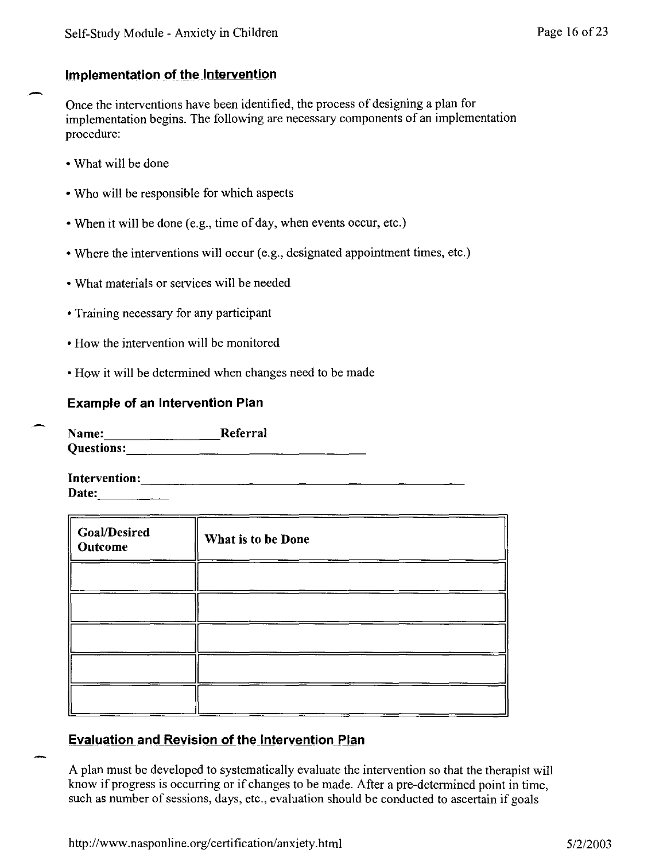#### Implementation of the Intervention

Once the interventions have been identified, the process of designing a plan for implementation begins. The following are necessary components of an implementation procedure:

• What will be done

-

- Who will be responsible for which aspects
- When it will be done (e.g., time of day, when events occur, etc.)
- Where the interventions will occur (e.g., designated appointment times, etc.)
- What materials or services will be needed
- Training necessary for any participant
- How the intervention will be monitored
- How it will be determined when changes need to be made

#### **Example of an Intervention Plan**

Name: Referral Questions: \_\_\_\_\_\_\_\_\_\_\_\_\_\_\_\_ \_

Intervention:  $\qquad \qquad$ Date:  $\qquad \qquad$ 

| <b>Goal/Desired</b><br><b>Outcome</b> | What is to be Done |
|---------------------------------------|--------------------|
|                                       |                    |
|                                       |                    |
|                                       |                    |
|                                       |                    |

#### **Evaluation and Revision of the Intervention Plan**

A plan must be developed to systematically evaluate the intervention so that the therapist will know if progress is occurring or if changes to be made. After a pre-determined point in time, such as number of sessions, days, etc., evaluation should be conducted to ascertain if goals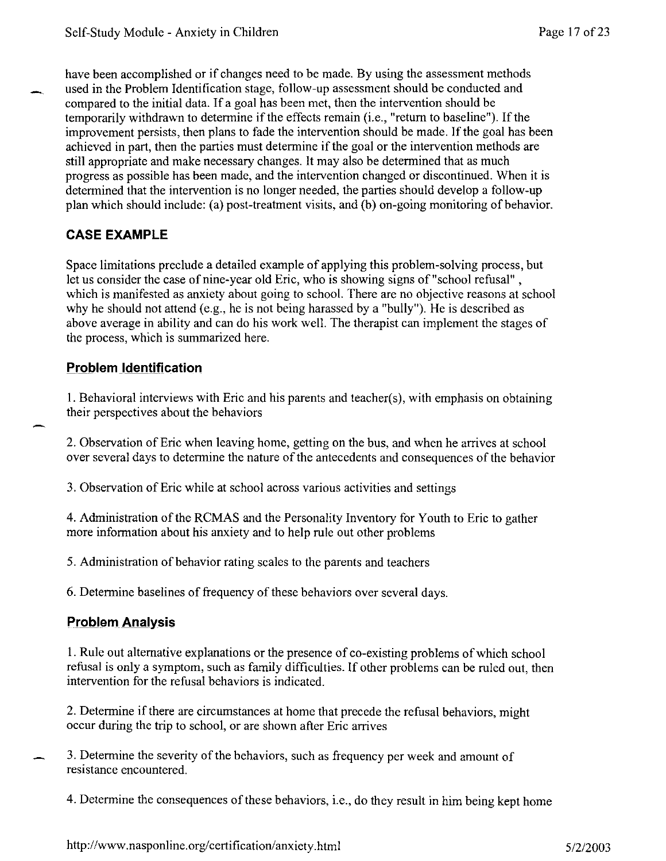have been accomplished or if changes need to be made. By using the assessment methods used in the Problem Identification stage, follow-up assessment should be conducted and compared to the initial data. If a goal has been met, then the intervention should be temporarily withdrawn to detennine if the effects remain (i.e., "return to baseline"). If the improvement persists, then plans to fade the intervention should be made. If the goal has been achieved in part, then the parties must determine if the goal or the intervention methods are still appropriate and make necessary changes. It may also be determined that as much progress as possible has been made, and the intervention changed or discontinued. When it is detennined that the intervention is no longer needed, the parties should develop a follow-up plan which should include: (a) post-treatment visits, and (b) on-going monitoring of behavior.

# **CASE EXAMPLE**

Space limitations preclude a detailed example of applying this problem-solving process, but let us consider the case of nine-year old Eric, who is showing signs of "school refusal" , which is manifested as anxiety about going to school. There are no objective reasons at school why he should not attend (e.g., he is not being harassed by a "bully"). He is described as above average in ability and can do his work well. The therapist can implement the stages of the process, which is summarized here.

### **Problem Jdentification**

I. Behavioral interviews with Eric and his parents and teacher(s), with emphasis on obtaining their perspectives about the behaviors

2. Observation of Eric when leaving home, getting on the bus, and when he arrives at school over several days to detennine the nature of the antecedents and consequences of the behavior

3. Observation of Eric while at school across various activities and settings

4. Administration of the RCMAS and the Personality Inventory for Youth to Eric to gather more information about his anxiety and to help rule out other problems

5. Administration of behavior rating scales to the parents and teachers

6. Detennine baselines of frequency of these behaviors over several days.

### **Problem Analysis**

1. Rule out alternative explanations or the presence of co-existing problems of which school refusal is only a symptom, such as family difficulties. If other problems can be ruled out, then intervention for the refusal behaviors is indicated.

2. Detennine if there are circumstances at home that precede the refusal behaviors, might occur during the trip to school, or are shown after Eric arrives

3. Detennine the severity of the behaviors, such as frequency per week and amount of resistance encountered.

4. Determine the consequences of these behaviors, i.e., do they result in him being kept home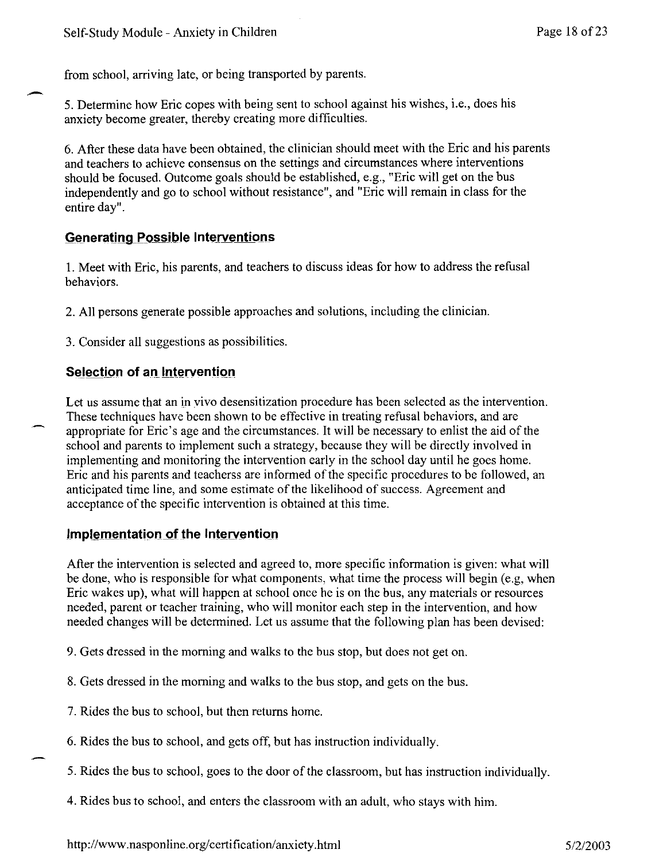-

from school, arriving late, or being transported by parents.

5. Determine how Eric copes with being sent to school against his wishes, i.e., does his anxiety become greater, thereby creating more difficulties.

6. After these data have been obtained, the clinician should meet with the Eric and his parents and teachers to achieve consensus on the settings and circumstances where interventions should be focused. Outcome goals should be established, e.g., "Eric will get on the bus independently and go to school without resistance", and "Eric will remain in class for the entire day".

#### **Generating Possible Interventions**

1. Meet with Eric, his parents, and teachers to discuss ideas for how to address the refusal behaviors.

2. All persons generate possible approaches and solutions, including the clinician.

3. Consider all suggestions as possibilities.

#### **Selection of an Intervention**

Let us assume that an in vivo desensitization procedure has been selected as the intervention. These techniques have been shown to be effective in treating refusal behaviors, and are appropriate for Eric's age and the circumstances. It will be necessary to enlist the aid of the school and parents to implement such a strategy, because they will be directly involved in implementing and monitoring the intervention early in the school day until he goes home. Eric and his parents and teacherss are informed of the specific procedures to be followed, an anticipated time line, and some estimate of the likelihood of success. Agreement and acceptance of the specific intervention is obtained at this time.

#### **Implementation of the Intervention**

After the intervention is selected and agreed to, more specific information is given: what will be done, who is responsible for what components, what time the process will begin (e.g, when Eric wakes up), what will happen at school once he is on the bus, any materials or resources needed, parent or teacher training, who will monitor each step in the intervention, and how needed changes will be determined. Let us assume that the following plan has been devised:

- 9. Gets dressed in the morning and walks to the bus stop, but does not get on.
- 8. Gets dressed in the morning and walks to the bus stop, and gets on the bus.
- 7. Rides the bus to school, but then returns home.
- 6. Rides the bus to school, and gets off, but has instruction individually.
- 5. Rides the bus to school, goes to the door of the classroom, but has instruction individually.
- 4. Rides bus to school, and enters the classroom with an adult, who stays with him.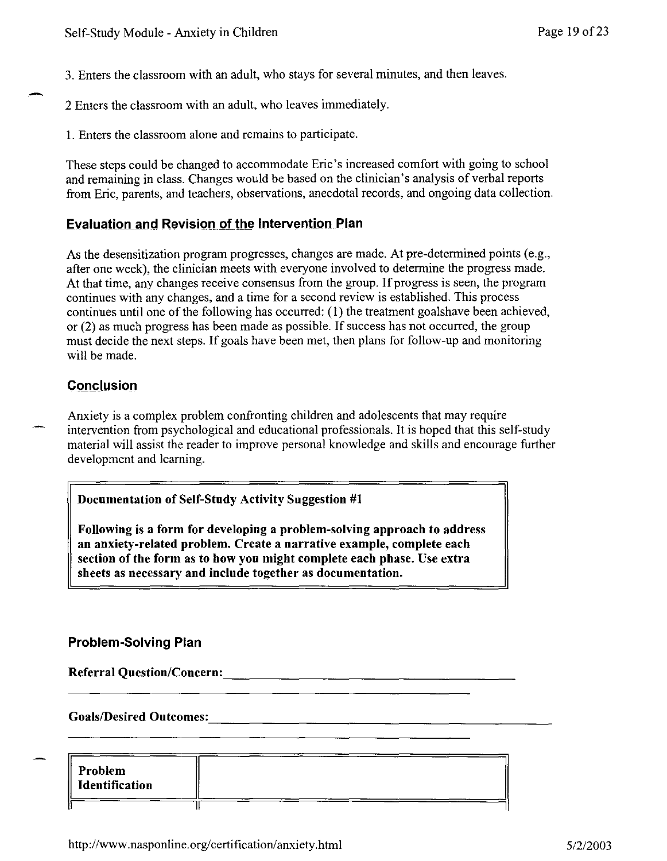- 3. Enters the classroom with an adult, who stays for several minutes, and then leaves.
- 2 Enters the classroom with an adult, who leaves immediately.
- 1. Enters the classroom alone and remains to participate.

These steps could be changed to accommodate Eric's increased comfort with going to school and remaining in class. Changes would be based on the clinician's analysis of verbal reports from Eric, parents, and teachers, observations, anecdotal records, and ongoing data collection.

### Evaluation and Revision of the Intervention Plan

As the desensitization program progresses, changes are made. At pre-determined points (e.g., after one week), the clinician meets with everyone involved to determine the progress made. At that time, any changes receive consensus from the group. If progress is seen, the program continues with any changes, and a time for a second review is established. This process continues until one of the following has occurred:  $(1)$  the treatment goalshave been achieved, or (2) as much progress has been made as possible. If success has not occurred, the group must decide the next steps. If goals have been met, then plans for follow-up and monitoring will be made.

### **Conclusion**

Anxiety is a complex problem confronting children and adolescents that may require intervention from psychological and educational professionals. It is hoped that this self-study material will assist the reader to improve personal knowledge and skills and encourage further development and learning.

Documentation of Self-Study Activity Suggestion #1

Following is a form for developing a problem-solving approach to address an anxiety-related problem. Create a narrative example, complete each section of the form as to how you might complete each phase. Use extra sheets as necessary and include together as documentation.

### Problem-Solving **Plan**

Referral Question/Concern:

#### Goals/Desired Outcomes:

Problem  $\left| \begin{array}{ccc} \text{1} & \text{1} & \text{1} & \text{1} & \text{1} & \text{1} & \text{1} & \text{1} & \text{1} & \text{1} & \text{1} & \text{1} & \text{1} & \text{1} & \text{1} & \text{1} & \text{1} & \text{1} & \text{1} & \text{1} & \text{1} & \text{1} & \text{1} & \text{1} & \text{1} & \text{1} & \text{1} & \text{1} & \text{1} & \text{1} & \text{1} & \text{1} & \text{1} & \text{1} & \text{1} &$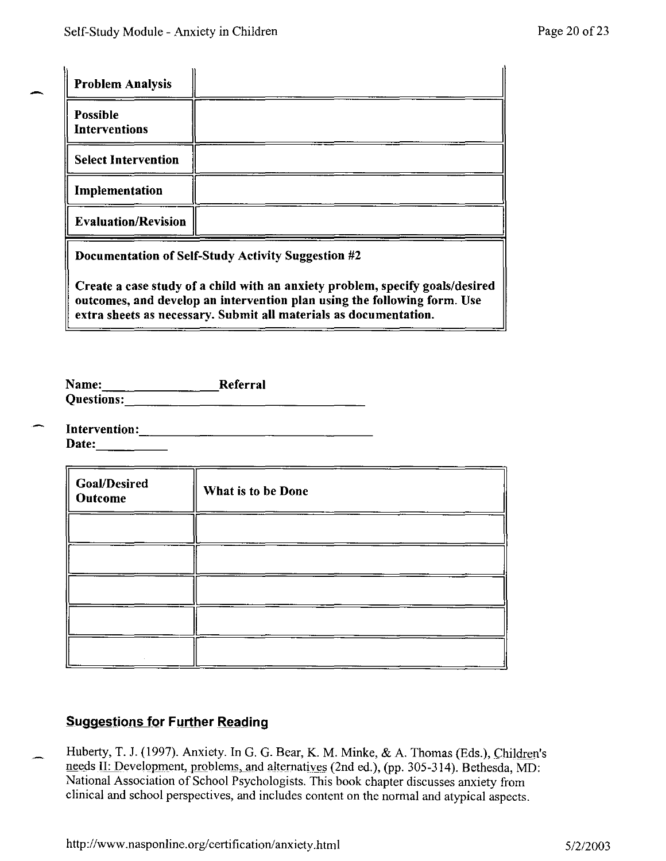| <b>Problem Analysis</b>                            |  |
|----------------------------------------------------|--|
| Possible<br><b>Interventions</b>                   |  |
| <b>Select Intervention</b>                         |  |
| Implementation                                     |  |
| <b>Evaluation/Revision</b>                         |  |
| Documentation of Self-Study Activity Suggestion #2 |  |

Create a case study of a child with an anxiety problem, specify goals/desired outcomes, and develop an intervention plan using the following form. Use extra sheets as necessary. Submit all materials as documentation.

| Name:             | Referral |
|-------------------|----------|
| <b>Questions:</b> |          |

Intervention: \_\_\_\_\_\_\_\_\_\_\_\_\_\_\_\_ \_ Intervention:\_\_\_\_\_<br>Date:\_\_\_\_\_\_\_\_\_\_\_\_\_\_

-

| Goal/Desired<br>Outcome | What is to be Done |
|-------------------------|--------------------|
|                         |                    |
|                         |                    |
|                         |                    |
|                         |                    |
|                         |                    |

# **Suggestions for Further Reading**

Huberty. T. J. (1997). Anxiety. In G. G. Bear, K. M. Minke, & A. Thomas (Eds.), Children's needs II: Development, problems, and alternatives (2nd ed.), (pp. 305-314). Bethesda, MD: National Association of School Psychologists. This book chapter discusses anxiety from clinical and school perspectives, and includes content on the normal and atypical aspects.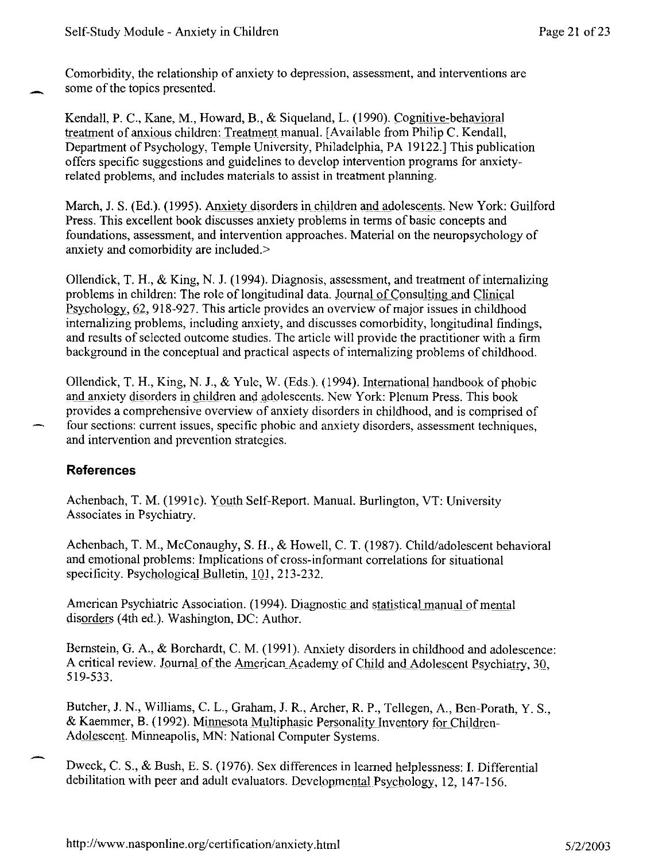Comorbidity, the relationship of anxiety to depression, assessment, and interventions are some of the topics presented.

Kendall, P. C., Kane, M., Howard, B., & Siqueland, L. (1990). Cognitive-behavioral treatment of anxious children: Treatment manual. [Available from Philip C. Kendall, Department of Psychology, Temple University, Philadelphia, PA 19122.] This publication offers specific suggestions and guidelines to develop intervention programs for anxietyrelated problems, and includes materials to assist in treatment planning.

March, J. S. (Ed.). (1995). Anxiety disorders in children and adolescents. New York: Guilford Press. This excellent book discusses anxiety problems in terms of basic concepts and foundations, assessment, and intervention approaches. Material on the neuropsychology of anxiety and comorbidity are included.>

Ollendick, T. H., & King, N. J. (1994). Diagnosis, assessment, and treatment of internalizing problems in children: The role of longitudinal data. Journal of Consulting and Clinical Psychology, 62, 918-927. This article provides an overview of major issues in childhood internalizing problems, including anxiety, and discusses comorbidity, longitudinal findings, and results of selected outcome studies. The article will provide the practitioner with a firm background in the conceptual and practical aspects of internalizing problems of childhood.

Ollendick, T. H., King, N. J., & Yule, W. (Eds.). (1994). International handbook of phobic and anxiety disorders in children and adolescents. New York: Plenum Press. This book provides a comprehensive overview of anxiety disorders in childhood, and is comprised of four sections: current issues, specific phobic and anxiety disorders, assessment techniques, and intervention and prevention strategies.

### **References**

Achenbach, T. M. (1991c). Youth Self-Report. Manual. Burlington, VT: University Associates in Psychiatry.

Achenbach, T. M., McConaughy, S. H., & Howell, C. T. (1987). Child/adolescent behavioral and emotional problems: Implications of cross-informant correlations for situational specificity. Psychological Bulletin, 101, 213-232.

American Psychiatric Association. (1994). Diagnostic and statistical manual of mental disorders (4th ed.). Washington, DC: Author.

Bernstein, G. A., & Borchardt, C. M. (1991). Anxiety disorders in childhood and adolescence: A critical review. Journal of the American Academy of Child and Adolescent Psychiatry, 30, 519-533.

Butcher, J. N., Williams, C. L., Graham, J. R., Archer, R. P., Tellegen, A., Ben-Porath, Y. S., & Kaemmer, B. (1992). Minnesota Multiphasic Personality Inventory for Children-Adolescent. Minneapolis, MN: National Computer Systems.

Dweck, C. S., & Bush, E. S. (1976). Sex differences in learned helplessness: I. Differential debilitation with peer and adult evaluators. Developmental Psychology, 12, 147-156.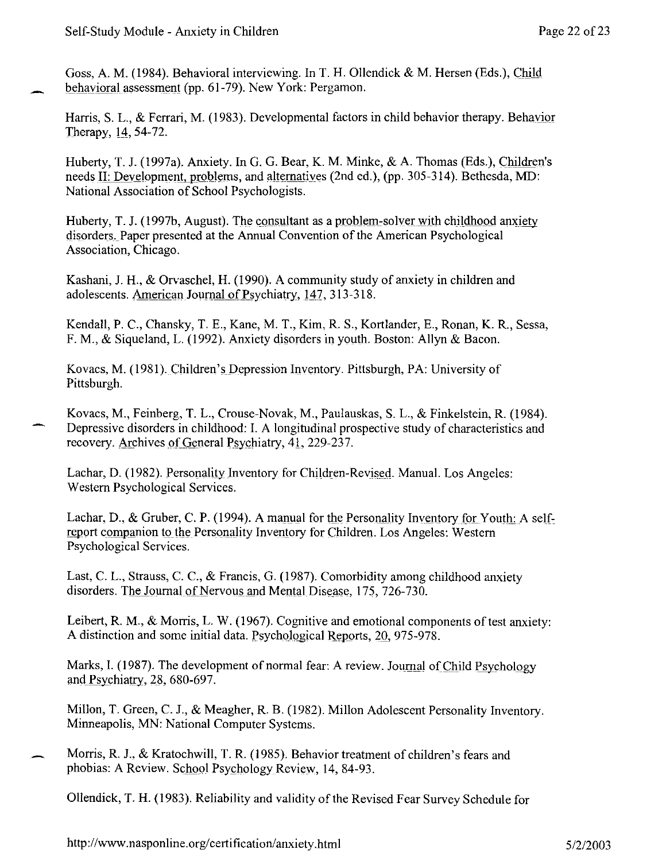-

Goss, A. M. (1984). Behavioral interviewing. In T. H. Ollendick & M. Hersen (Eds.), Child behavioral assessment (pp. 61-79). New York: Pergamon.

Harris, S. L., & Ferrari, M. (1983). Developmental factors in child behavior therapy. Behavior Therapy, 14, 54-72.

Huberty, T. J. (1997a). Anxiety. In G. G. Bear, K. M. Minke, & A. Thomas (Eds.), Cbildren's needs II: Development, problems, and alternatives (2nd ed.), (pp. 305-314). Bethesda, MD: National Association of School Psychologists.

Huberty, T. J. (1997b, August). The consultant as a problem-solver with childhood anxiety disorders.\_Paper presented at the Annual Convention of the American Psychological Association, Chicago.

Kashani, J. H., & Orvaschel, H. (1990). A community study of anxiety in children and adolescents. American Journal of Psychiatry, 147, 313-318.

Kendall, P. c., Chansky, T. E., Kane, M. T., Kim, R. S., Kortlander, E., Ronan, K. R., Sessa, F. M., & Siqueland, L. (1992). Anxiety disorders in youth. Boston: Allyn & Bacon.

Kovacs, M. (1981). Children's Depression Inventory. Pittsburgh, PA: University of Pittsburgh.

Kovacs, M., Feinberg, T. L., Crouse-Novak, M., Paulauskas, S. L., & Finkelstein, R. (1984). Depressive disorders in childhood: I. A longitudinal prospective study of characteristics and recovery. Archives of General Psychiatry, 41, 229-237.

Lachar, D. (1982). Personality Inventory for Children-Revised. Manual. Los Angeles: Western Psychological Services.

Lachar, D., & Gruber, C. P. (1994). A manual for the Personality Inventory for Youth: A selfreport companion to the Personality Inventory for Children. Los Angeles: Western Psychological Services.

Last, C. L., Strauss, C. c., & Francis, G. (1987). Comorbidity among childhood anxiety disorders. The Journal of Nervous and Mental Disease, 175, 726-730.

Leibert, R. M.,  $\&$  Morris, L. W. (1967). Cognitive and emotional components of test anxiety: A distinction and some initial data. Psychological Reports, 20, 975-978.

Marks, I. (1987). The development of normal fear: A review. Journal of Child Psychology and Psychiatry, 28, 680-697.

Millon, T. Green, C. J., & Meagher, R. B. (1982). Millon Adolescent Personality Inventory. Minneapolis, MN: National Computer Systems.

Morris, R. J., & Kratochwill, T. R. (1985). Behavior treatment of children's fears and phobias: A Review. School Psychology Review, 14, 84-93.

Ollendick, T. H. (1983). Reliability and validity of the Revised Fear Survey Schedule for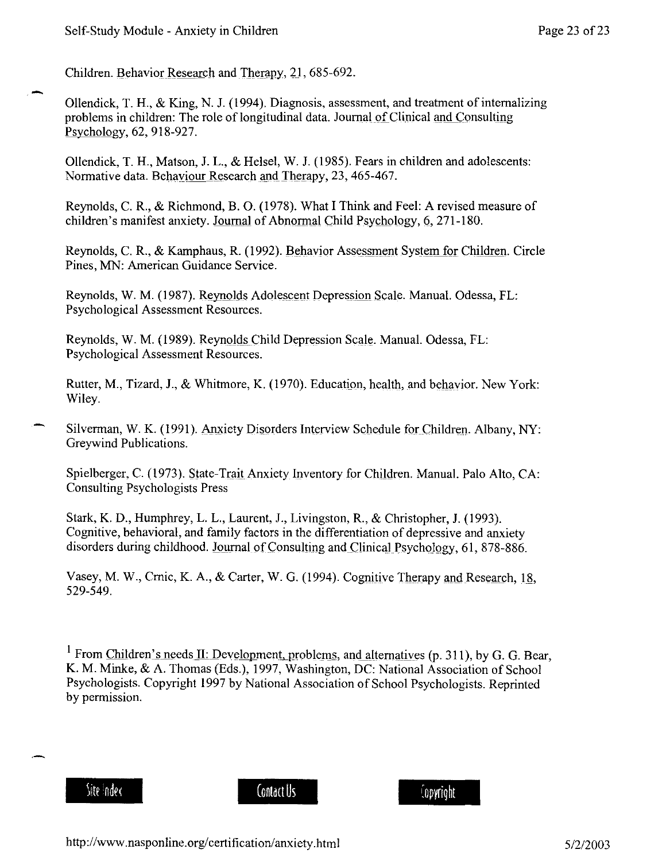-

Children. Behavior Research and Therapy, 21, 685-692.

Ollendick, T. H., & King, N. J. (1994). Diagnosis, assessment, and treatment of internalizing problems in children: The role of longitudinal data. Journal of Clinical and Consulting Psychology, 62, 918-927.

Ollendick, T. H., Matson, 1. L., & Helsel, W. 1. (1985). Fears in children and adolescents: Normative data. Behaviour Research and Therapy, 23, 465-467.

Reynolds, C. R., & Richmond, B. O. (1978). What I Think and Feel: A revised measure of children's manifest anxiety. Journal of Abnormal Child Psychology, 6, 271-180.

Reynolds, C. R., & Kamphaus, R. (1992). Behavior Assessment System for Children. Circle Pines, MN: American Guidance Service.

Reynolds, W. M. (1987). Reynolds Adolescent Depression Scale. Manual. Odessa, FL: Psychological Assessment Resources.

Reynolds, W. M. (1989). Reynolds Child Depression Scale. Manual. Odessa, FL: Psychological Assessment Resources.

Rutter, M., Tizard, 1., & Whitmore, K. (1970). Education, health, and behavior. New York: Wiley.

Silverman, W. K. (1991). Anxiety Disorders Interview Schedule for Children. Albany, NY: Greywind Publications.

Spielberger, C. (1973). State-Trait Anxiety Inventory for Children. Manual. Palo Alto, CA: Consulting Psychologists Press

Stark, K. D., Humphrey, L. L., Laurent, 1., Livingston, R., & Christopher, 1. (1993). Cognitive, behavioral, and family factors in the differentiation of depressive and anxiety disorders during childhood. Journal of Consulting and Clinical Psychology, 61, 878-886.

Vasey, M. W., Crnic, K. A., & Carter, W. G.  $(1994)$ . Cognitive Therapy and Research, 18, 529-549.

<sup>1</sup> From Children's needs II: Development, problems, and alternatives (p. 311), by G. G. Bear, K. M. Minke, & A. Thomas (Eds.), 1997, Washington, DC: National Association of School Psychologists. Copyright 1997 by National Association of School Psychologists. Reprinted by permission.

Site Index



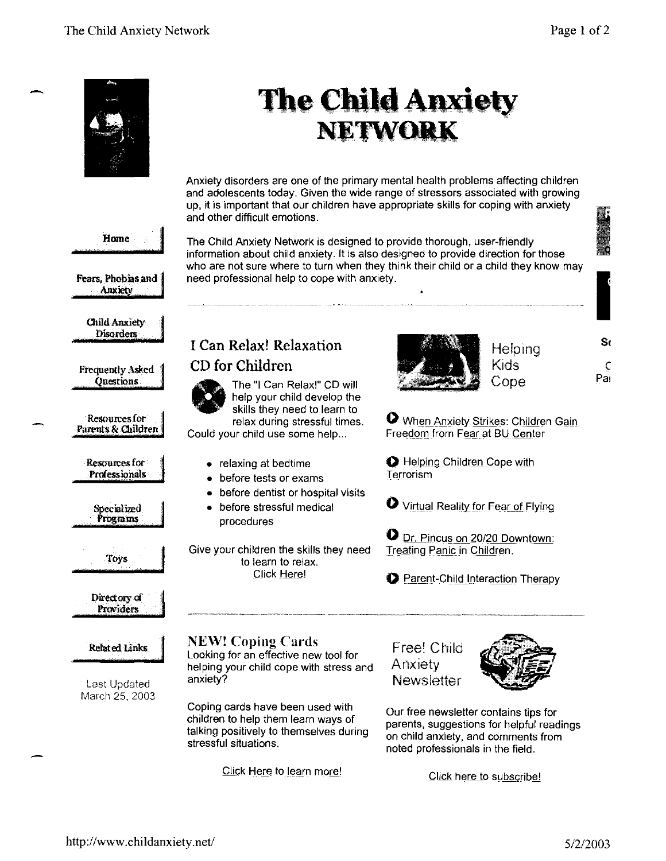$\ddot{\phantom{2}}$ 

I

 $S($ 

 $\mathsf{C}$ 

Pai



-

# **The Child Anxiety NETWORK**

Anxiety disorders are one of the primary mental health problems affecting children and adolescents today. Given the wide range of stressors associated with growing up, it is important that our children have appropriate skills for coping with anxiety and other difficult emotions.



# I Can Relax! Relaxation

# CD for Children



The "I Can Relax!" CD will<br>help your child develop the<br>skills they need to learn to<br>relax during stressful times help your child develop the skills they need to learn to relax during stressful times. Could your child use some help...

- relaxing at bedtime
- before tests or exams
- before dentist or hospital visits
- before stressful medical procedures

Give your children the skills they need to learn to relax. Click Here!



Helping Kids Cope

**O** When Anxiety Strikes: Children Gain Freedom from Fear at BU Center

 $\bullet$  Helping Children Cope with Terrorism



Dr. Pincus on 20/20 Downtown: Treating Panic in Children.

**2** Parent-Child Interaction Therapy

**NEW!** Coping Cards Looking for an effective new tool for helping your child cope with stress and

Coping cards have been used with children to help them learn ways of talking positively to themselves during stressful situations.

Click Here to learn more!

Free' Child Anxiety **Newsletter** 



Our free newsletter contains tips for parents, suggestions for helpful readings on child anxiety, and comments from noted professionals in the field.

Click here to subscribe!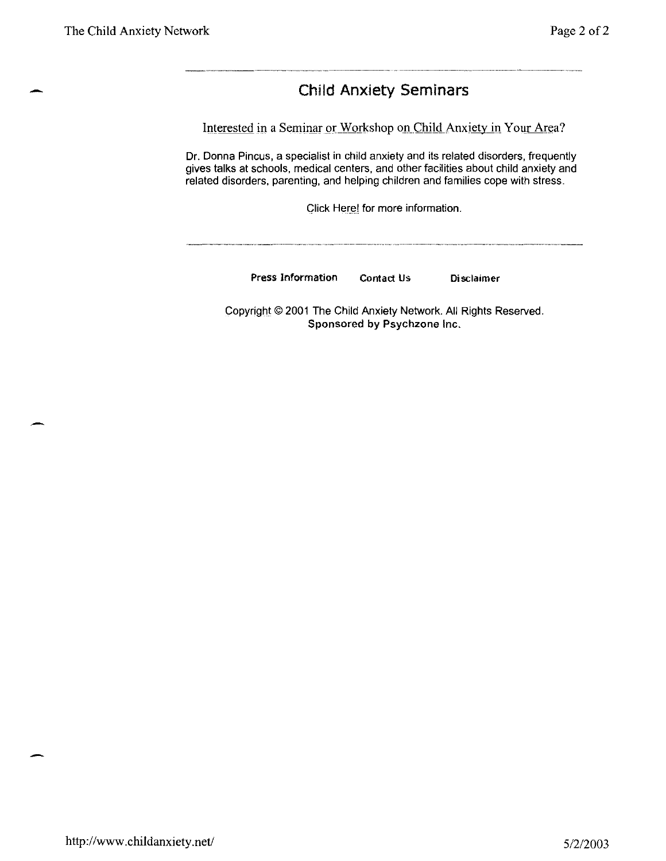-

# **Child Anxiety Seminars**

Interested in a Seminar or Workshop on Child Anxiety in Your Area?

Dr. Donna Pincus, a specialist in child anxiety and its related disorders, frequently gives talks at schools, medical centers, and other facilities about child anxiety and related disorders, parenting, and helping children and families cope with stress.

Click Here! for more information.

Press Information Contact Us **Disclaimer** 

Copyright © 2001 The Child Anxiety Network. All Rights Reserved. Sponsored by Psychzone Inc.

-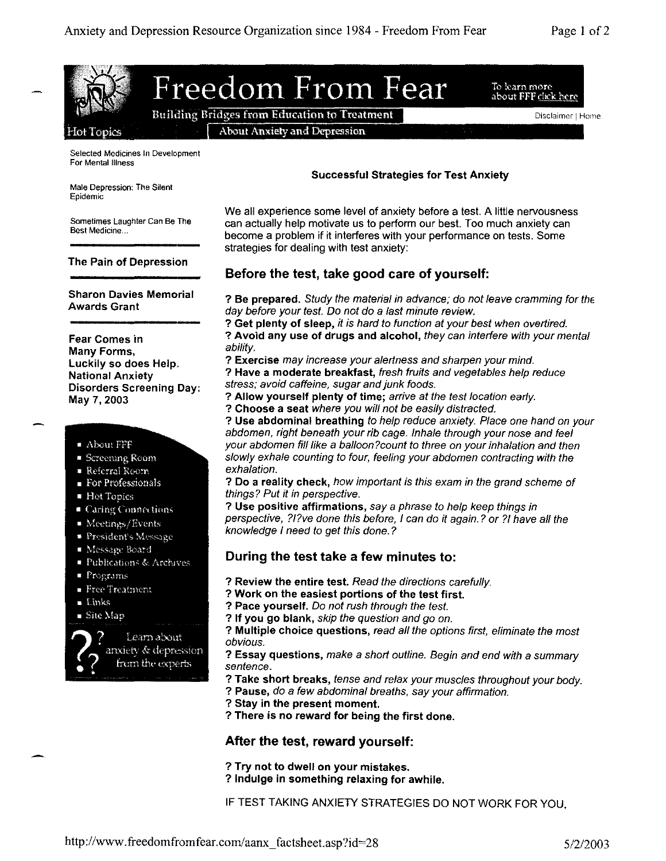

# **Freedom From Fear**

Building Bridges from Education to Treatment

About Anxiety and Depression

Disclaimer | Home

To learn more about FFF click here

Selected Medicines In Development For Mental Illness

Mate Depression: The Silent Epidemic

Sometimes Laughter Can Be The Best Medicine...

The Pain of Depression

Sharon Davies Memorial Awards Grant

Fear Comes in Many Forms, luckily so does Help. National Anxiety Disorders Screening Day: May 7, 2003

- Aoout FFF
- **Screening Room**
- Referral Room
- **For Professionals**
- Hot Topics
- Caring Connections
- $\blacksquare$  Meetings/Events
- <sup>\*</sup> President's Message
- Message Board
- **Publications & Archives**
- Programs
- Free Treatment
- Links

• Site Map



**?** Learn about<br>**a** anxiety & depression from the experts

#### Successful Strategies for Test Anxiety

We all experience some level of anxiety before a test. A little nervousness can actually help motivate us to perform our best. Too much anxiety can become a problem if it interferes with your performance on tests. Some strategies for dealing with test anxiety:

### Before the test, take good care of yourself:

? Be prepared. Study the material in advance; do not leave cramming for the day before your test. Do not do a last minute review.

? Get plenty of sleep, it is hard to function at your best when overtired. ? Avoid any use of drugs and alcohol, they can interfere with your mental ability.

? Exercise may increase your alertness and sharpen your mind.

? Have a moderate breakfast, fresh fruits and vegetables help reduce stress; avoid caffeine, sugar and junk foods.

? Allow yourself plenty of time; arrive at the test location early.

? Choose a seat where you will not be easily distracted.

? Use abdominal breathing to help reduce anxiety. Place one hand on your abdomen. right beneath your rib cage. Inhale through your nose and feel your abdomen till like a balloon?count to three on your inhalation and then slowly exhale counting to four, feeling your abdomen contracting with the exhalation.

? Do a reality check, how important is this exam in the grand scheme of things? Put it in perspective.

? Use positive affirmations, say a phrase to help keep things in perspective, ?I?ve done this before, I can do it again.? or ?I have all the knowledge I need to get this done. ?

#### During the test take a few minutes to:

- ? Review the entire test. Read the directions carefully.
- ? Work on the easiest portions of the test first.
- ? Pace yourself. Do not rush through the test.
- ? If you go blank, skip the question and go on.

? Multiple choice questions, read all the options first, eliminate the most obvious.

? Essay questions, make a short outline. Begin and end with a summary sentence.

? Take short breaks, tense and relax your muscles throughout your body. ? Pause, do a few abdominal breaths, say your affirmation.

- ? Stay in the present moment.
- ? There is no reward for being the first done.

### After the test, reward yourself:

? Try not to dwell on your mistakes. ? Indulge in something relaxing for awhile.

IF TEST TAKING ANXIETY STRATEGIES DO NOT WORK FOR YOU,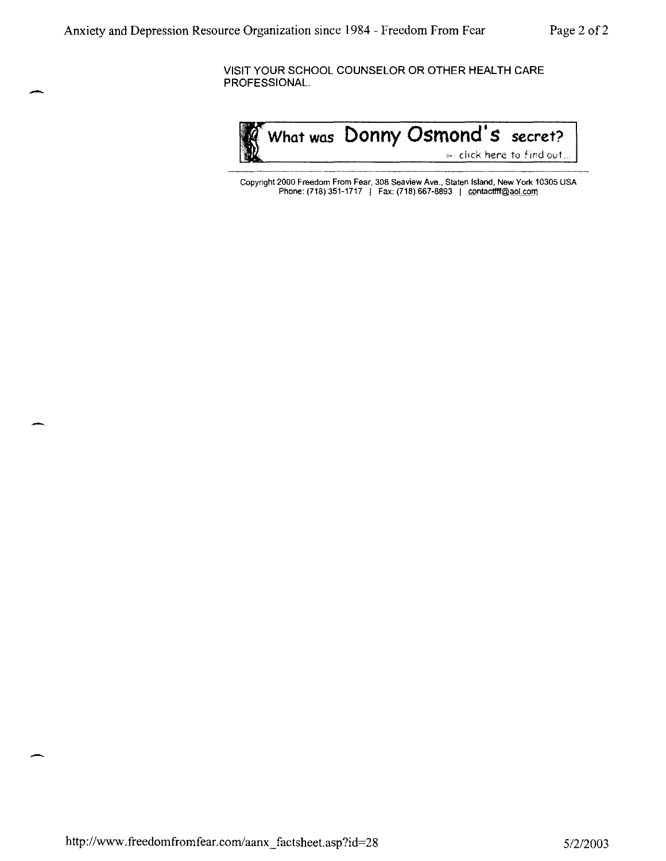-

-

VISIT YOUR SCHOOL COUNSELOR OR OTHER HEALTH CARE PROFESSIONAL.



**Copyright 2000 Freedom From Fear, 308 Seaview Ave., Staten Island, New York 10305 USA**  Phone: (718) 351-1717 | Fax: (718) 667-8893 | contactfff@aol.com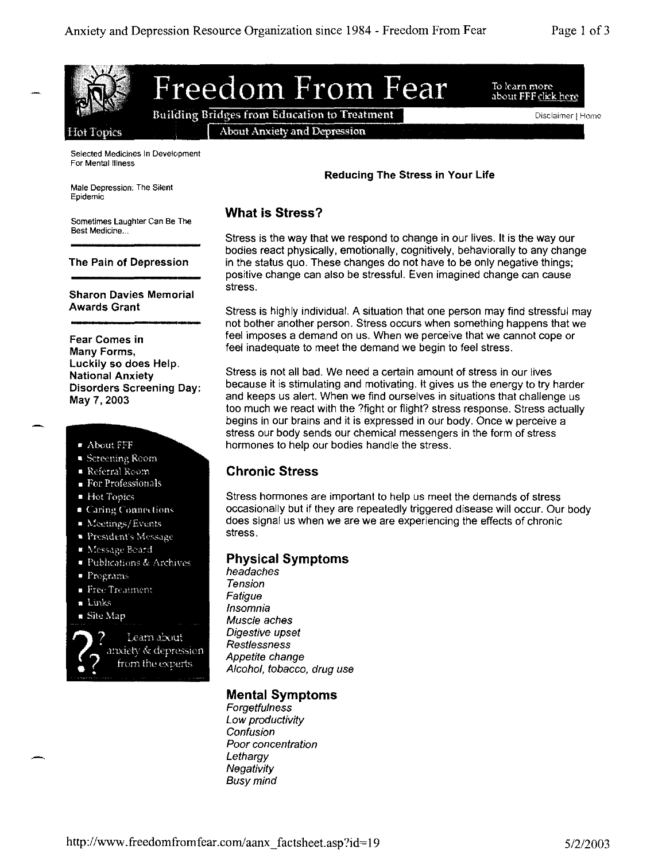

# **Freedom From Fear**

Building Bridges from Education to Treatment

Aboul Anxiety and Depression

Disclaimer | Home

To learn more about FFF <u>click here</u>

Selected Medicines In Development For Mental Illness

Male Depression: The Silent Epidemic

Sometimes Laughter Can Be The Best Medicine...

The Pain of Depression

Sharon Davies Memorial Awards Grant

Fear Comes in Many Forms, Luckily so does Help. National Anxiety Disorders Screening Day: May 7, 2003

• About FFF

- **E** Screening Room
- Referral Room
- **For Professionals**
- Hot Topics
- $\blacksquare$  Caring Connections
- $*$  Meetings/Events
- \* President's Message
- t\/~(~\$"J.g~' E""::'3:-d
- <sup>■</sup> Publications & Archives
- Programs
- Fret: Tn;;)trncnt
- Links
- Site Map



Learn about anxiety & depression from the experts

#### Reducing The Stress in Your Life

#### What is Stress?

Stress is the way that we respond to change in our lives. It is the way our bodies react physically, emotionally, cognitively, behaviorally to any change in the status quo. These changes do not have to be only negative things; positive change can also be stressful. Even imagined change can cause stress.

Stress is highly individual. A situation that one person may find stressful may not bother another person. Stress occurs when something happens that we feel imposes a demand on us. When we perceive that we cannot cope or feel inadequate to meet the demand we begin to feel stress.

Stress is not all bad. We need a certain amount of stress in our lives because it is stimulating and motivating. It gives us the energy to try harder and keeps us alert. When we find ourselves in situations that challenge us too much we react with the ?fight or flight? stress response. Stress actually begins in our brains and it is expressed in our body. Once w perceive a stress our body sends our chemical messengers in the form of stress hormones to help our bodies handle the stress.

### Chronic Stress

Stress hormones are important to help us meet the demands of stress occasionally but if they are repeatedly triggered disease will occur. Our body does signal us when we are we are experiencing the effects of chronic stress.

### Physical Symptoms

headaches Tension Fatigue Insomnia Muscle aches Digestive upset Restlessness Appetite change Alcohol, tobacco, drug use

### Mental Symptoms

Forgetfulness Low productivity **Confusion** Poor concentration Lethargy **Negativity** Busy mind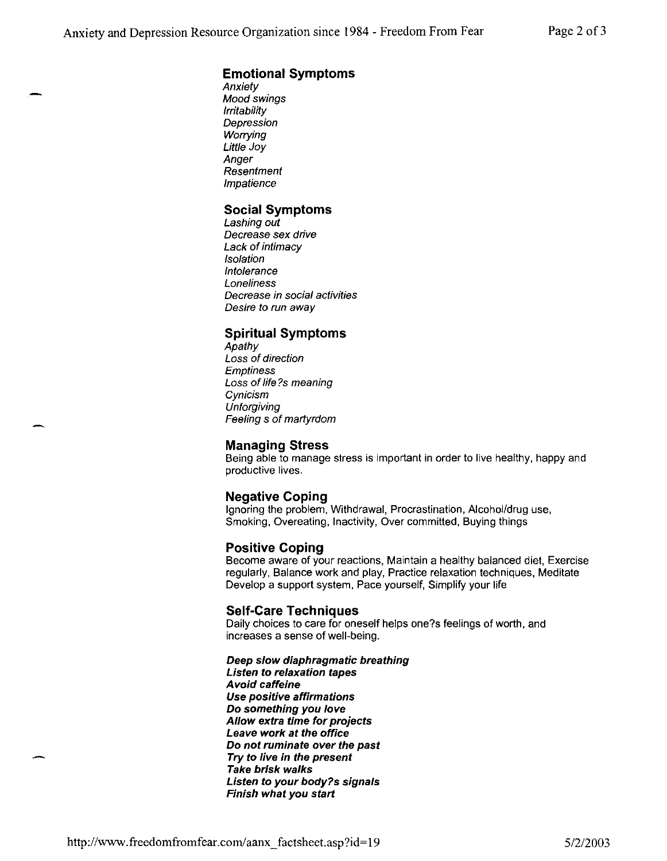#### **Emotional Symptoms**

Anxiety Mood swings Irritability Depression **Worrying** Little Joy Anger Resentment Impatience

#### **Social Symptoms**

Lashing out Decrease sex drive Lack of intimacy **Isolation** Intolerance Loneliness Decrease in social activities Desire to run away

#### **Spiritual Symptoms**

**Apathy** Loss of direction Emptiness Loss of life?s meaning **Cynicism** Unforgiving Feeling s of martyrdom

#### **Managing Stress**

Being able to manage stress is important in order to live healthy, happy and productive lives.

#### **Negative Coping**

Ignoring the problem, Withdrawal, Procrastination, Alcohol/drug use, Smoking, Overeating, Inactivity, Over committed, Buying things

#### **Positive Coping**

Become aware of your reactions, Maintain a healthy balanced diet, Exercise regularly, Balance work and play, Practice relaxation techniques, Meditate Develop a support system, Pace yourself, Simplify your life

#### **Self-Care Techniques**

Daily choices to care for oneself helps one?s feelings of worth, and increases a sense of well-being.

#### Deep slow diaphragmatic breathing

Listen to relaxation tapes Avoid caffeine Use positive affirmations Do something you love Allow extra time for projects Leave work at the office Do not ruminate over the past Try to live in the present Take brisk walks Listen to your body?s signals Finish what you start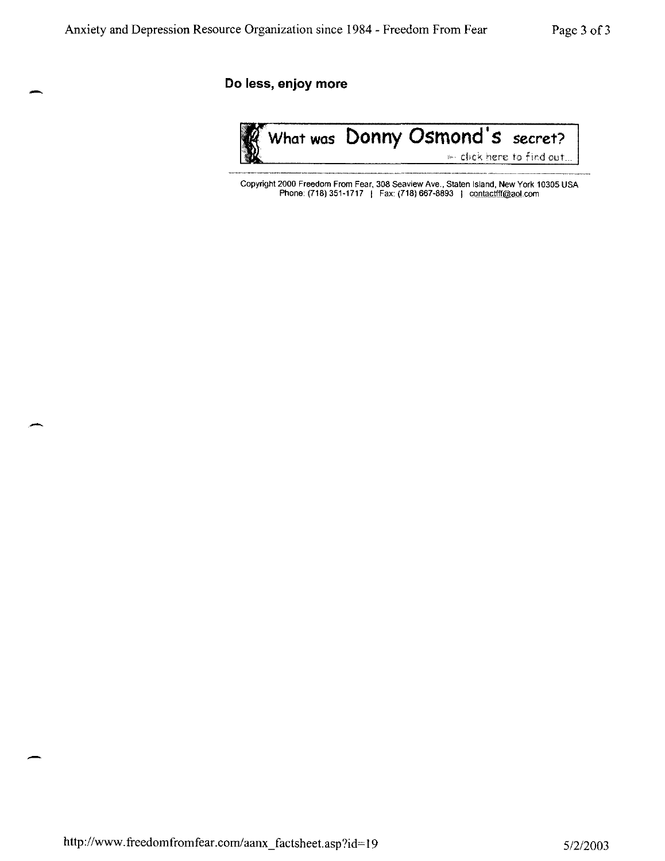**Do less, enjoy more** 

-

-



**Copyright 2000 Freedom From Fear, 308 Seaview Ave., Staten Island, New York 10305 USA**  Phone: (718) 351-1717 | Fax: (718) 667-8893 | contactfff@aol.com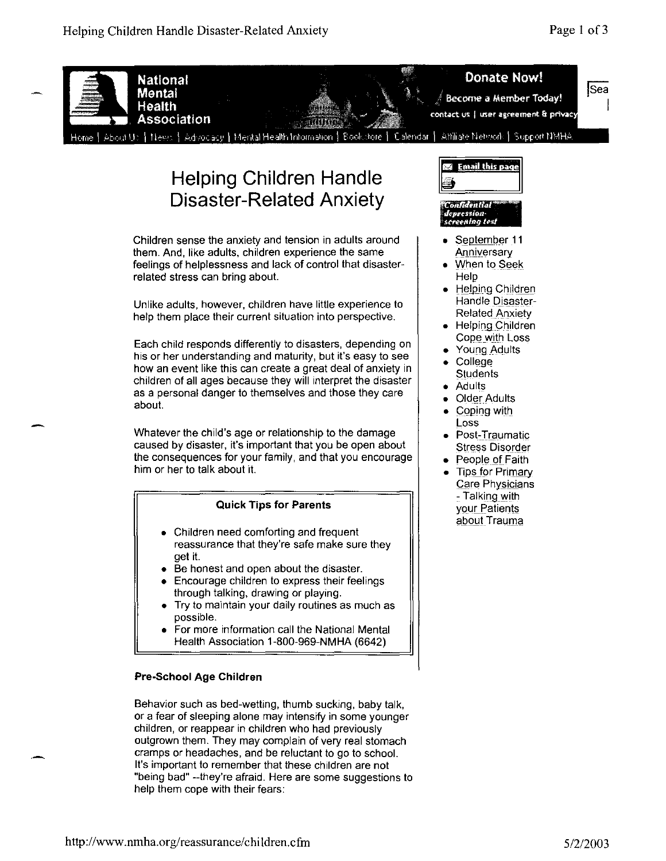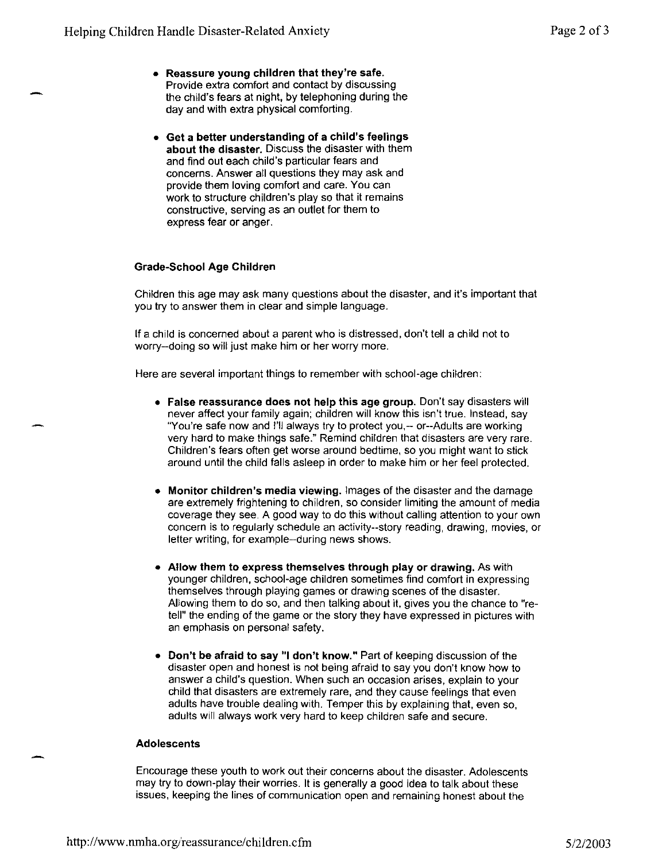- Reassure young children that they're safe. Provide extra comfort and contact by discussing the child's fears at night, by telephoning during the day and with extra physical comforting.
- Get a better understanding of a child's feelings about the disaster. Discuss the disaster with them and find out each child's particular fears and concerns. Answer all questions they may ask and provide them loving comfort and care. You can work to structure children's play so that it remains constructive, serving as an outlet for them to express fear or anger.

#### Grade-School Age Children

Children this age may ask many questions about the disaster, and it's important that you try to answer them in clear and simple language.

If a child is concerned about a parent who is distressed, don't tell a child not to worry--doing so will just make him or her worry more.

Here are several important things to remember with school-age children:

- False reassurance does not help this age group. Don't say disasters will never affect your family again; children will know this isn't true. Instead, say "You're safe now and I'll always try to protect you,-- or--Adults are working very hard to make things safe." Remind children that disasters are very rare. Children's fears often get worse around bedtime, so you might want to stick around until the child falls asleep in order to make him or her feel protected.
- Monitor children's media viewing. Images of the disaster and the damage are extremely frightening to children, so consider limiting the amount of media coverage they see. A good way to do this without calling attention to your own concern is to regularly schedule an activity--story reading, drawing, movies, or letter writing, for example--during news shows.
- Allow them to express themselves through play or drawing. As with younger children, school-age children sometimes find comfort in expressing themselves through playing games or drawing scenes of the disaster. Allowing them to do so, and then talking about it, gives you the chance to "retell" the ending of the game or the story they have expressed in pictures with an emphasis on personal safety.
- Don't be afraid to say "I don't know." Part of keeping discussion of the disaster open and honest is not being afraid to say you don't know how to answer a child's question. When such an occasion arises, explain to your child that disasters are extremely rare, and they cause feelings that even adults have trouble dealing with. Temper this by explaining that, even so, adults will always work very hard to keep children safe and secure.

#### Adolescents

Encourage these youth to work out their concerns about the disaster. Adolescents may try to down-play their worries. It is generally a good idea to talk about these issues, keeping the lines of communication open and remaining honest about the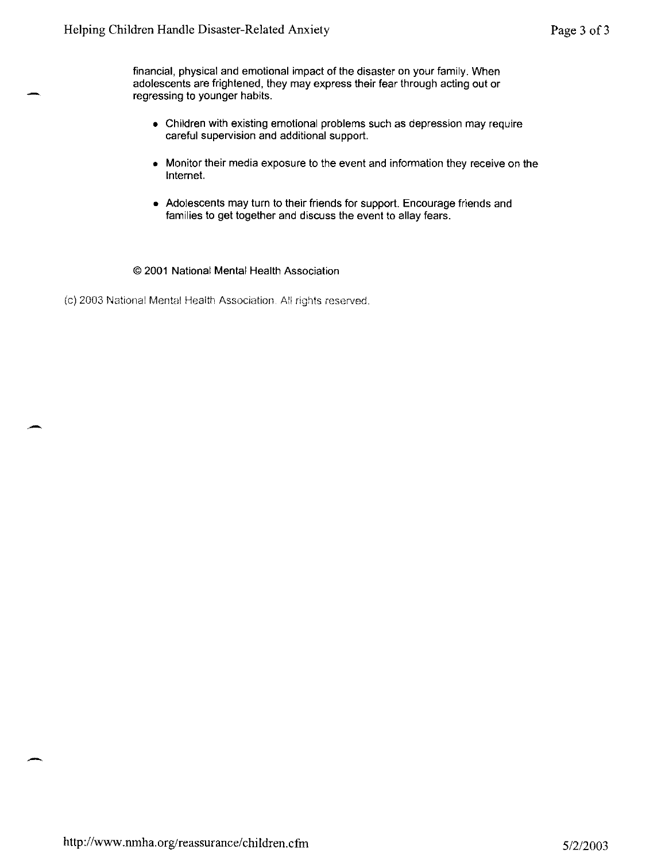financial, physical and emotional impact of the disaster on your family. When adolescents are frightened, they may express their fear through acting out or regressing to younger habits.

- Children with existing emotional problems such as depression may require careful supervision and additional support.
- Monitor their media exposure to the event and information they receive on the Internet.
- Adolescents may turn to their friends for support. Encourage friends and families to get together and discuss the event to allay fears.

#### © 2001 National Mental Health Association

(c) 2003 National Mental Health Association. All rights reserved.

-

-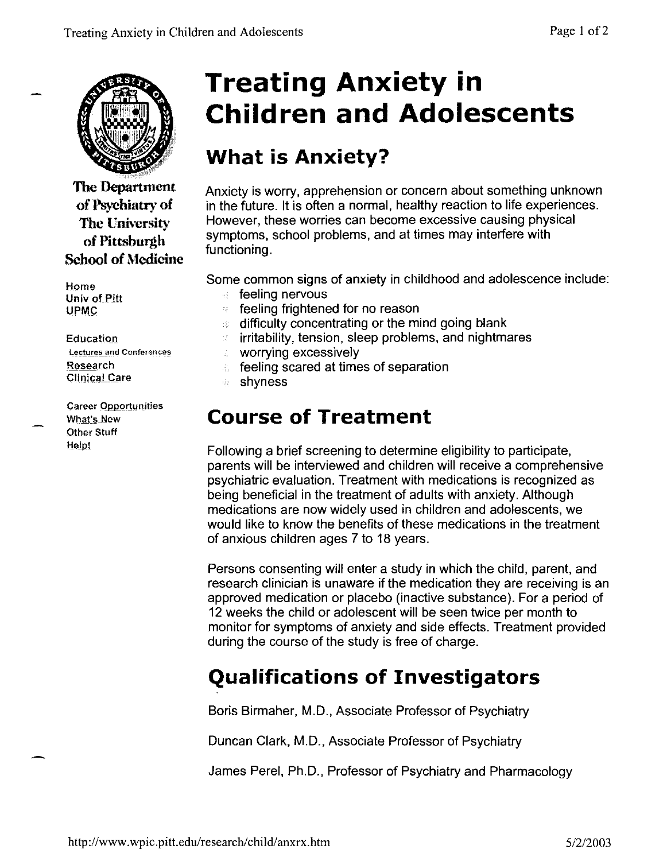

The Department of Psychiatry of The University<br>of Pittsburgh School of Medicine

Home Univ of Pitt UPMC

Education Lectures and Conferences Research Clinical Care

Career Opportunities What's New **Other Stuff** Help!

# **Treating Anxiety in Children and Adolescents**

# **What is Anxiety?**

Anxiety is worry, apprehension or concern about something unknown in the future. It is often a normal, healthy reaction to life experiences. However, these worries can become excessive causing physical symptoms, school problems, and at times may interfere with functioning.

Some common signs of anxiety in childhood and adolescence include:

- feeling nervous  $\mathbb{Q}_d^{(2)}$  .
- feeling frightened for no reason  $\mathbb{Q}^{\mathrm{an}}_{\mathrm{F}}$
- difficulty concentrating or the mind going blank 毒。
- irritability, tension, sleep problems, and nightmares  $\mathbb{R}^n$  .
- worrying excessively
- the feeling scared at times of separation
- shyness  $\mathbb{Q}_{\mathrm{B}}^{\mathrm{L}}$  .

# **Course of Treatment**

Following a brief screening to determine eligibility to participate, parents will be interviewed and children will receive a comprehensive psychiatric evaluation. Treatment with medications is recognized as being beneficial in the treatment of adults with anxiety. Although medications are now widely used in children and adolescents, we would like to know the benefits of these medications in the treatment of anxious children ages 7 to 18 years.

Persons consenting will enter a study in which the child, parent, and research clinician is unaware if the medication they are receiving is an approved medication or placebo (inactive substance). For a period of 12 weeks the child or adolescent will be seen twice per month to monitor for symptoms of anxiety and side effects. Treatment provided during the course of the study is free of charge.

# **Qualifications of Investigators**

Boris Birmaher, M.D., Associate Professor of Psychiatry

Duncan Clark, M.D., Associate Professor of Psychiatry

James Perel, Ph.D., Professor of Psychiatry and Pharmacology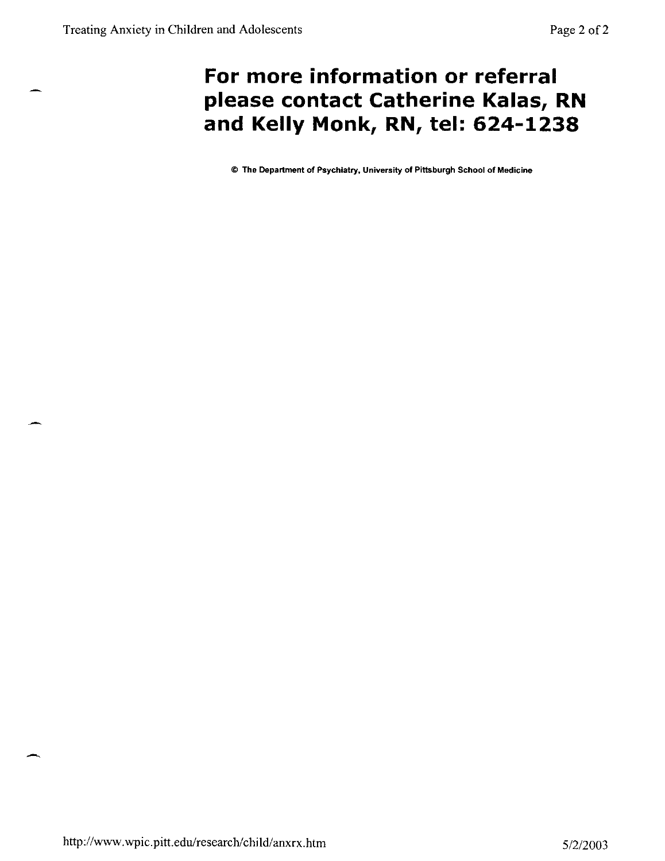# **For more information or referral please contact Catherine Kalas, RN and Kelly Monk, RN, tel: 624-1238**

© **The Department of Psychiatry, University of Pittsburgh School of Medicine**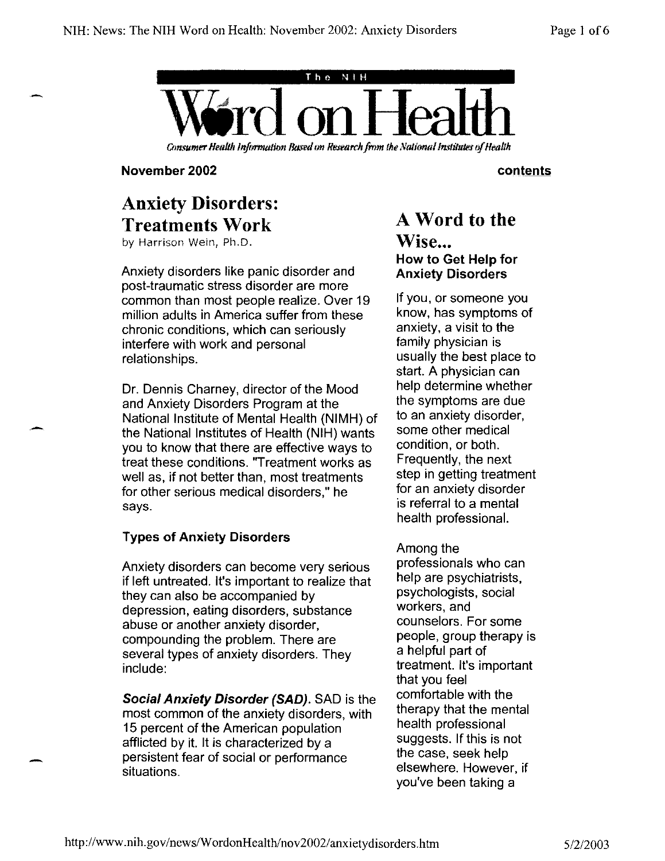

**November 2002** cont~nts

-

-

# **Anxiety Disorders: Treatments Work**

by Harrison Wein, Ph.D.

Anxiety disorders like panic disorder and post-traumatic stress disorder are more common than most people realize. Over 19 million adults in America suffer from these chronic conditions, which can seriously interfere with work and personal relationships.

Dr. Dennis Chamey, director of the Mood and Anxiety Disorders Program at the National Institute of Mental Health (NIMH) of the National Institutes of Health (NIH) wants you to know that there are effective ways to treat these conditions. "Treatment works as well as, if not better than, most treatments for other serious medical disorders," he says.

# **Types of** Anxiety **Disorders**

Anxiety disorders can become very serious if left untreated. It's important to realize that they can also be accompanied by depression, eating disorders, substance abuse or another anxiety disorder, compounding the problem. There are several types of anxiety disorders. They include:

**Social Anxiety Disorder (SAD).** SAD is the most common of the anxiety disorders, with 15 percent of the American population afflicted by it. It is characterized by a persistent fear of social or performance situations.

# **A Word to the**  Wise... **How to Get Help for Anxiety Disorders**

**If** you, or someone you know, has symptoms of anxiety, a visit to the family physician is usually the best place to start. A physician can help determine whether the symptoms are due to an anxiety disorder, some other medical condition, or both. Frequently, the next step in getting treatment for an anxiety disorder is referral to a mental health professional.

Among the professionals who can help are psychiatrists, psychologists, social workers, and counselors. For some people, group therapy is a helpful part of treatment. It's important that you feel comfortable with the therapy that the mental health professional suggests. If this is not the case, seek help elsewhere. However, if you've been taking a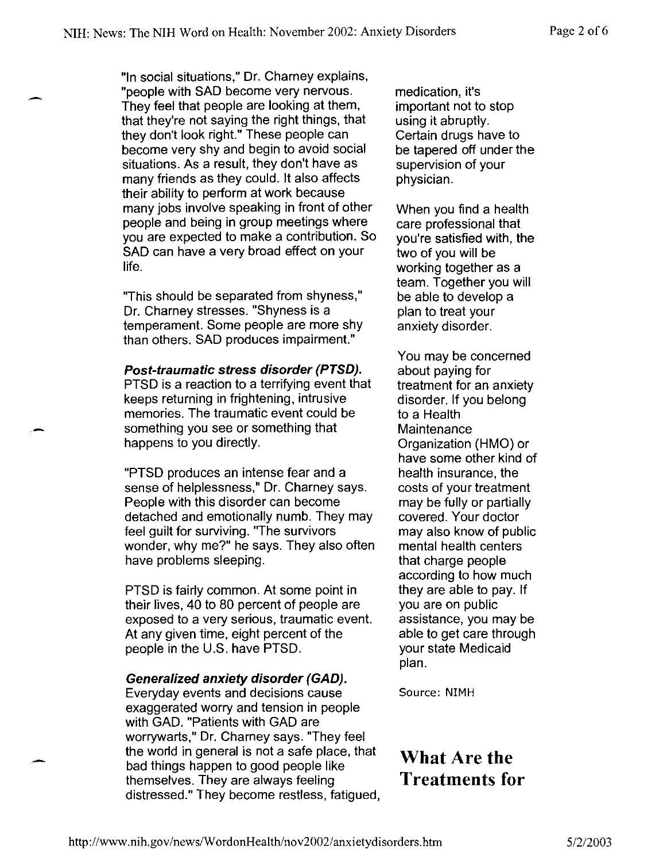"In social situations," Dr. Charney explains, "people with SAD become very nervous. They feel that people are looking at them, that they're not saying the right things, that they don't look right." These people can become very shy and begin to avoid social situations. As a result, they don't have as many friends as they could. It also affects their ability to perform at work because many jobs involve speaking in front of other people and being in group meetings where you are expected to make a contribution. So SAD can have a very broad effect on your life.

''This should be separated from shyness," Dr. Charney stresses. "Shyness is a temperament. Some people are more shy than others. SAD produces impairment."

#### Post-traumatic stress disorder (PTSD).

PTSD is a reaction to a terrifying event that keeps returning in frightening, intrusive memories. The traumatic event could be something you see or something that happens to you directly.

"PTSD produces an intense fear and a sense of helplessness," Dr. Charney says. People with this disorder can become detached and emotionally numb. They may feel guilt for surviving. "The survivors wonder, why me?" he says. They also often have problems sleeping.

PTSD is fairly common. At some point in their lives, 40 to 80 percent of people are exposed to a very serious, traumatic event. At any given time, eight percent of the people in the U.S. have PTSD.

### Generalized anxiety disorder (GAD).

-

Everyday events and decisions cause Source: NIMH exaggerated worry and tension in people with GAD. "Patients with GAD are worrywarts," Dr. Charney says. "They feel the world in general is not a safe place, that **What** Are **the**  bad things happen to good people like themselves. They are always feeling **Treatments for**  distressed." They become restless, fatigued,

medication, it's important not to stop using it abruptly. Certain drugs have to be tapered off under the supervision of your physician.

When you find a health care professional that you're satisfied with, the two of you will be working together as a team. Together you will be able to develop a plan to treat your anxiety disorder.

You may be concerned about paying for treatment for an anxiety disorder. If you belong to a Health **Maintenance** Organization (HMO) or have some other kind of health insurance, the costs of your treatment may be fully or partially covered. Your doctor may also know of public mental health centers that charge people according to how much they are able to pay. If you are on public assistance, you may be able to get care through your state Medicaid plan.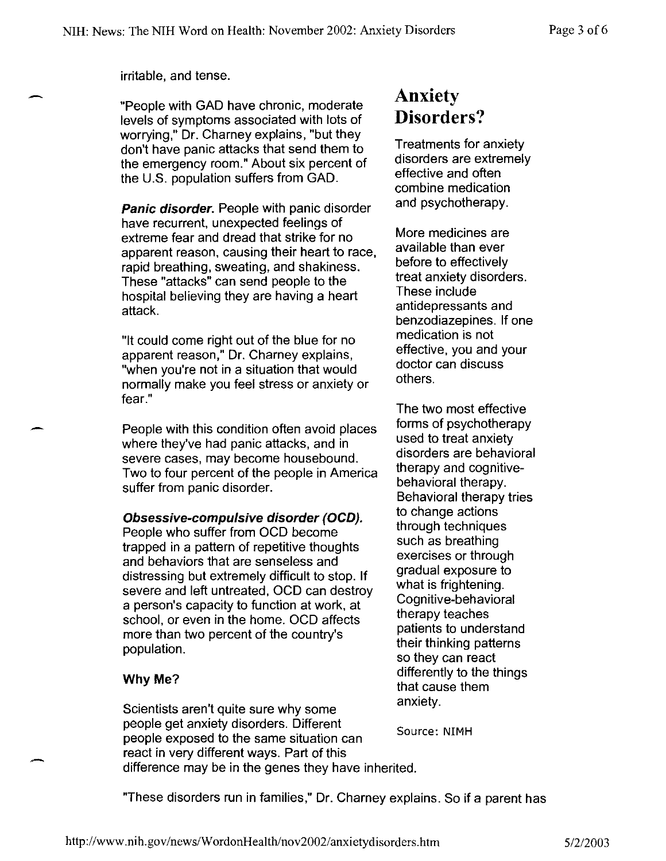irritable, and tense.

"People with GAD have chronic, moderate levels of symptoms associated with lots of worrying," Dr. Charney explains, "but they don't have panic attacks that send them to the emergency room." About six percent of the U.S. population suffers from GAD.

**Panic disorder.** People with panic disorder have recurrent, unexpected feelings of extreme fear and dread that strike for no apparent reason, causing their heart to race, rapid breathing, sweating, and shakiness. These "attacks" can send people to the hospital believing they are having a heart attack.

"It could come right out of the blue for no apparent reason," Dr. Charney explains, "when you're not in a situation that would normally make you feel stress or anxiety or fear."

People with this condition often avoid places where they've had panic attacks, and in severe cases, may become housebound. Two to four percent of the people in America suffer from panic disorder.

### Obsessive-compulsive disorder (OCD).

People who suffer from OCD become trapped in a pattern of repetitive thoughts and behaviors that are senseless and distressing but extremely difficult to stop. If severe and left untreated, OCD can destroy a person's capacity to function at work, at school, or even in the home. OCD affects more than two percent of the country's population.

### Why Me?

Scientists aren't quite sure why some people get anxiety disorders. Different people exposed to the same situation can react in very different ways. Part of this difference may be in the genes they have inherited.

# **Anxiety Disorders?**

Treatments for anxiety disorders are extremely effective and often combine medication and psychotherapy.

More medicines are available than ever before to effectively treat anxiety disorders. These include antidepressants and benzodiazepines. If one medication is not effective, you and your doctor can discuss others.

The two most effective forms of psychotherapy used to treat anxiety disorders are behavioral therapy and cognitivebehavioral therapy. Behavioral therapy tries to change actions through techniques such as breathing exercises or through gradual exposure to what is frightening. Cognitive-behavioral therapy teaches patients to understand their thinking patterns so they can react differently to the things that cause them anxiety.

Source: NIMH

"These disorders run in families," Dr. Charney explains. So if a parent has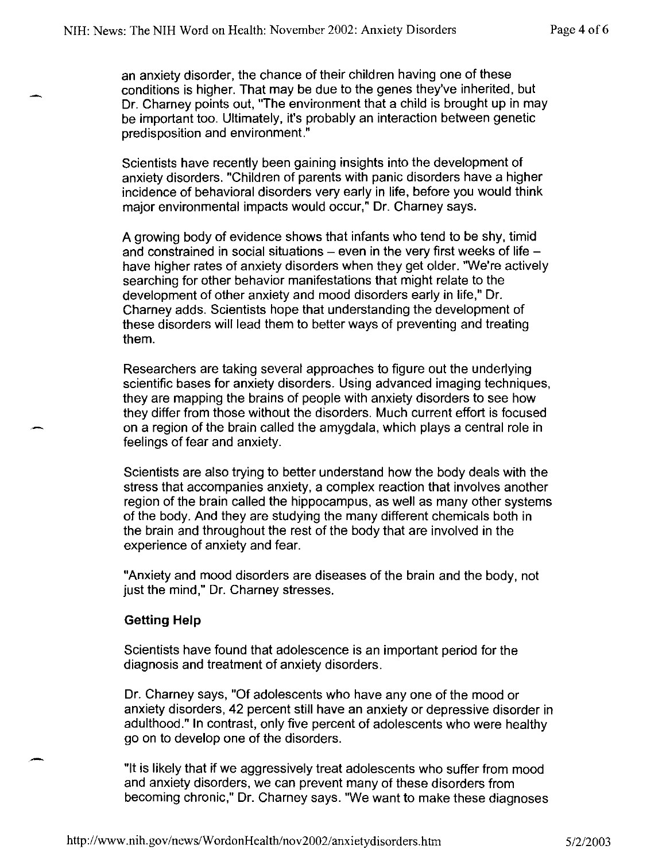an anxiety disorder, the chance of their children having one of these conditions is higher. That may be due to the genes they've inherited, but Dr. Charney points out, "The environment that a child is brought up in may be important too. Ultimately, it's probably an interaction between genetic predisposition and environment."

Scientists have recently been gaining insights into the development of anxiety disorders. "Children of parents with panic disorders have a higher incidence of behavioral disorders very early in life, before you would think major environmental impacts would occur," Dr. Charney says.

A growing body of evidence shows that infants who tend to be shy, timid and constrained in social situations  $-$  even in the very first weeks of life  $$ have higher rates of anxiety disorders when they get older. "We're actively searching for other behavior manifestations that might relate to the development of other anxiety and mood disorders early in life," Dr. Charney adds. Scientists hope that understanding the development of these disorders will lead them to better ways of preventing and treating them.

Researchers are taking several approaches to figure out the underlying scientific bases for anxiety disorders. Using advanced imaging techniques, they are mapping the brains of people with anxiety disorders to see how they differ from those without the disorders. Much current effort is focused on a region of the brain called the amygdala, which plays a central role in feelings of fear and anxiety.

Scientists are also trying to better understand how the body deals with the stress that accompanies anxiety, a complex reaction that involves another region of the brain called the hippocampus, as well as many other systems of the body. And they are studying the many different chemicals both in the brain and throughout the rest of the body that are involved in the experience of anxiety and fear.

"Anxiety and mood disorders are diseases of the brain and the body, not just the mind," Dr. Charney stresses.

#### Getting **Help**

Scientists have found that adolescence is an important period for the diagnosis and treatment of anxiety disorders.

Dr. Charney says, "Of adolescents who have anyone of the mood or anxiety disorders, 42 percent still have an anxiety or depressive disorder in adulthood." In contrast, only five percent of adolescents who were healthy go on to develop one of the disorders.

"It is likely that if we aggressively treat adolescents who suffer from mood and anxiety disorders, we can prevent many of these disorders from becoming chronic," Dr. Charney says. "We want to make these diagnoses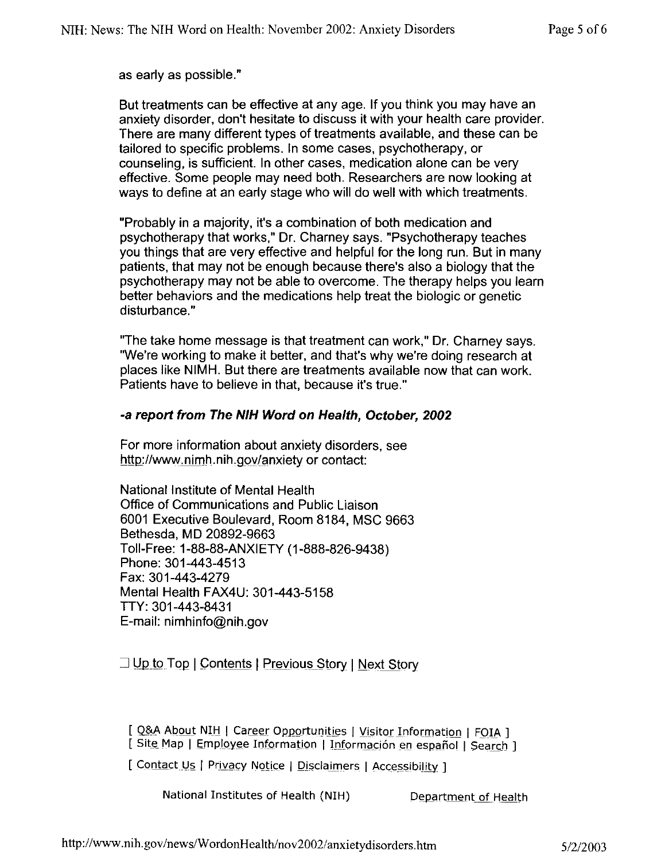as early as possible."

But treatments can be effective at any age. If you think you may have an anxiety disorder, don't hesitate to discuss it with your health care provider. There are many different types of treatments available, and these can be tailored to specific problems. In some cases, psychotherapy, or counseling, is sufficient. In other cases, medication alone can be very effective. Some people may need both. Researchers are now looking at ways to define at an early stage who will do well with which treatments.

"Probably in a majority, it's a combination of both medication and psychotherapy that works," Dr. Charney says. "Psychotherapy teaches you things that are very effective and helpful for the long run. But in many patients, that may not be enough because there's also a biology that the psychotherapy may not be able to overcome. The therapy helps you learn better behaviors and the medications help treat the biologic or genetic disturbance."

"The take home message is that treatment can work," Dr. Charney says. "We're working to make it better, and that's why we're doing research at places like NIMH. But there are treatments available now that can work. Patients have to believe in that, because it's true."

#### **-a report from The NIH Word on Health, October, 2002**

For more information about anxiety disorders, see http://www.nimh.nih.gov/anxiety or contact:

National Institute of Mental Health Office of Communications and Public Liaison 6001 Executive Boulevard, Room 8184, MSC 9663 Bethesda, MD 20892-9663 Toll-Free: 1-88-88-ANXIETY (1-888-826-9438) Phone: 301-443-4513 Fax: 301-443-4279 Mental Health FAX4U: 301-443-5158 ny: 301-443-8431 E-mail: nimhinfo@nih.gov

 $\Box$  Up to Top | Contents | Previous Story | Next Story

[ Q&A About NIH | Career Opportunities | Visitor Information | FOIA ] [ Site Map | Employee Information | Información en español | Search ]

[ Contact Us | Privacy Notice | Disclaimers | Accessibility ]

National Institutes of Health (NIH) Department of Health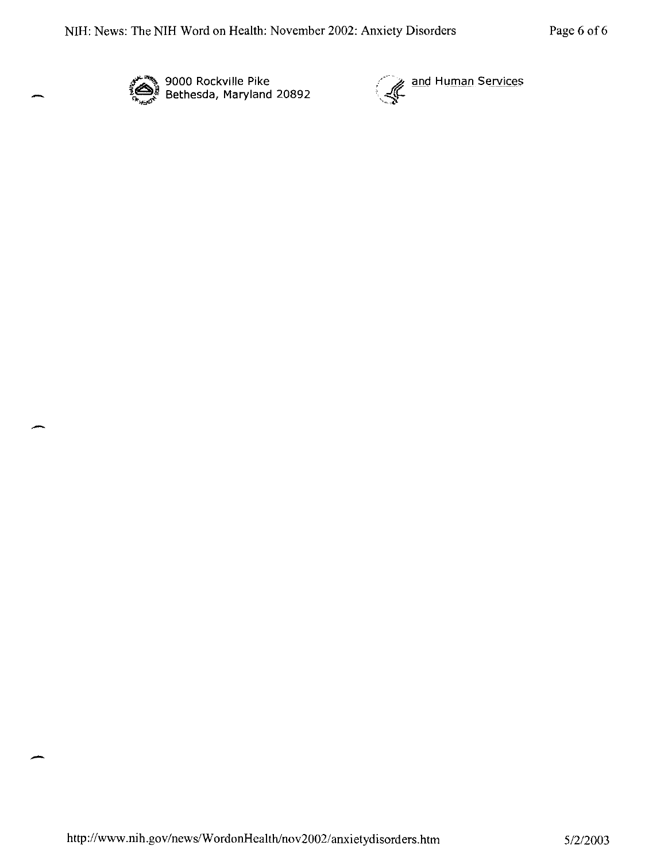

 $~^{\bullet}$  9000 Rockville Pike 9000 Rockville Pike

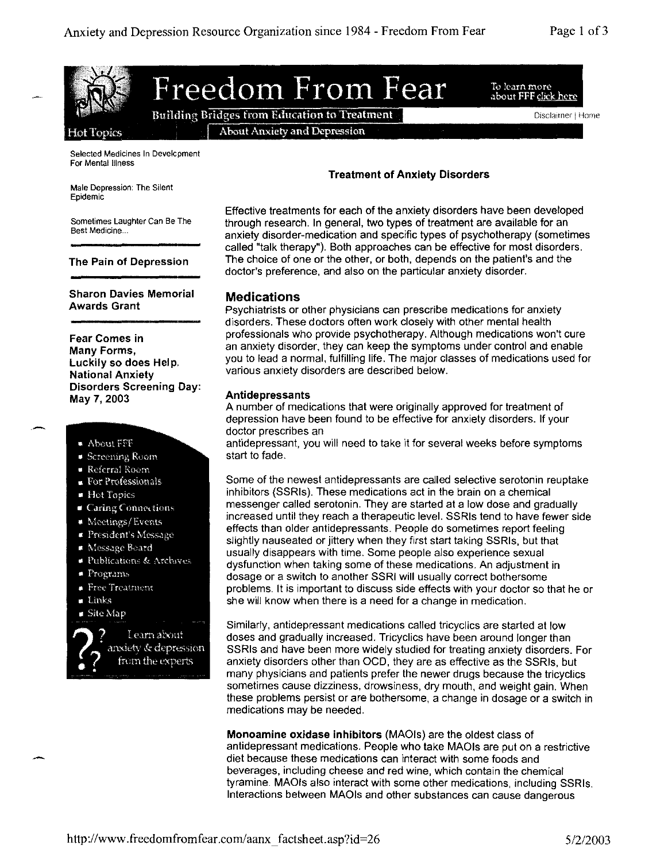

# Freedom From Fear

Building Bridges from Education to Treatment **About Anxiety and Depression** 

To learn more about FFF click here

Disclaimer | Home

**Selected Medicines In Develcpment For Mental Illness** 

**Male Depression: The Silent Epidemic** 

**Sometimes Laughter Can Be The Best** Medicine ...

The Pain of Depression

Sharon Davies Memorial Awards Grant

Fear Comes in Many Forms, Luckily so does Help, National Anxiety Disorders Screening Day: May 7, 2003

• AooutFFF

#### • Screcning Room

- **Referral Room**
- For Professionals
- Hot Topics
- **Caring Connections**
- Meetings/Events
- President's Message
- $\blacksquare$  Message Board
- Publications & Archives
- Programs
- Free Treatment
- Unk...-:.
- $\blacksquare$  Site Map



Learn about anxiety & depression<br>from the experts

#### Treatment of Anxiety Disorders

Effective treatments for each of the anxiety disorders have been developed through research, In general, two types of treatment are available for an anxiety disorder-medication and specific types of psychotherapy (sometimes called "talk therapy"), Both approaches can be effective for most disorders, The choice of one or the other, or both, depends on the patient's and the doctor's preference, and also on the particular anxiety disorder.

#### **Medications**

Psychiatrists or other physicians can prescribe medications for anxiety disorders, These doctors often work closely with other mental health professionals who provide psychotherapy, Although medications won't cure an anxiety disorder, they can keep the symptoms under control and enable you to lead a normal, fulfilling life, The major classes of medications used for various anxiety disorders are described below,

#### Antidepressants

A number of medications that were originally approved for treatment of depression have been found to be effective for anxiety disorders, If your doctor prescribes an

antidepressant, you will need to take it for several weeks before symptoms start to fade,

Some of the newest antidepressants are called selective serotonin reuptake inhibitors (SSRls), These medications act in the brain on a chemical messenger called serotonin, They are started at a low dose and gradually increased until they reach a therapeutic level. SSRls tend to have fewer side effects than older antidepressants, People do sometimes report feeling slightly nauseated or jittery when they first start taking SSRls, but that usually disappears with time, Some people also experience sexual dysfunction when taking some of these medications, An adjustment in dosage or a switch to another SSRI will usually correct bothersome problems, It is important to discuss side effects with your doctor so that he or she will know when there is a need for a change in medication,

Similarly, antidepressant medications called tricyclics are started at low doses and gradually increased, Tricyclics have been around longer than SSRls and have been more widely studied for treating anxiety disorders, For anxiety disorders other than OGD, they are as effective as the SSRls, but many physicians and patients prefer the newer drugs because the tricyclics sometimes cause dizziness, drowsiness, dry mouth, and weight gain, When these problems persist or are bothersome, a change in dosage or a switch in medications may be needed,

Monoamine oxidase inhibitors (MAOls) are the oldest class of antidepressant medications, People who take MAOls are put on a restrictive diet because these medications can interact with some foods and beverages, including cheese and red wine, which contain the chemical tyramine, MAOls also interact with some other medications, including SSRls, Interactions between MAOls and other substances can cause dangerous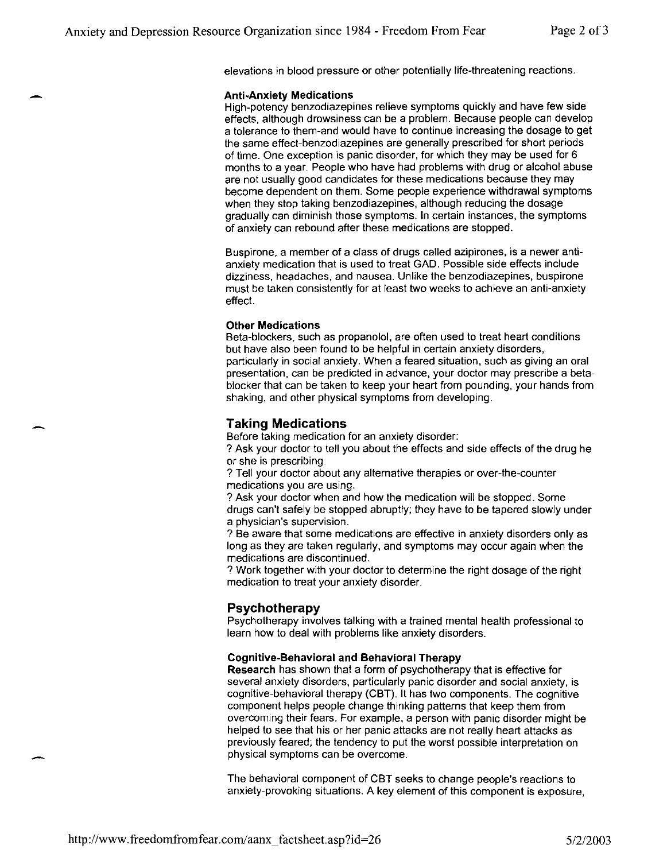elevations in blood pressure or other potentially life-threatening reactions.

#### Anti-Anxiety Medications

High-potency benzodiazepines relieve symptoms quickly and have few side effects, although drowsiness can be a problem. Because people can develop a tolerance to them-and would have to continue increasing the dosage to get the same effect-benzodiazepines are generally prescribed for short periods of time. One exception is panic disorder, for which they may be used for 6 months to a year. People who have had problems with drug or alcohol abuse are not usually good candidates for these medications because they may become dependent on them. Some people experience withdrawal symptoms when they stop taking benzodiazepines, although reducing the dosage gradually can diminish those symptoms. In certain instances, the symptoms of anxiety can rebound after these medications are stopped.

Buspirone, a member of a class of drugs called azipirones, is a newer antianxiety medication that is used to treat GAD. Possible side effects include dizziness, headaches, and nausea. Unlike the benzodiazepines, buspirone must be taken consistently for at least two weeks to achieve an anti-anxiety effect.

#### Other Medications

Beta-blockers, such as propanolol, are often used to treat heart conditions but have also been found to be helpful in certain anxiety disorders, particularly in social anxiety. When a feared situation, such as giving an oral presentation, can be predicted in advance, your doctor may prescribe a betablocker that can be taken to keep your heart from pounding, your hands from shaking, and other physical symptoms from developing.

#### **Taking Medications**

-

Before taking medication for an anxiety disorder:

? Ask your doctor to tell you about the effects and side effects of the drug he or she is prescribing.

? Tell your doctor about any alternative therapies or over-the-counter medications you are using.

? Ask your doctor when and how the medication will be stopped. Some drugs can't safely be stopped abruptly; they have to be tapered slowly under a physician's supervision.

? Be aware that some medications are effective in anxiety disorders only as long as they are taken regularly, and symptoms may occur again when the medications are discontinued.

? Work together with your doctor to determine the right dosage of the right medication to treat your anxiety disorder.

#### **Psychotherapy**

Psychotherapy involves talking with a trained mental health professional to learn how to deal with problems like anxiety disorders.

#### Cognitive-Behavioral and Behavioral Therapy

Research has shown that a form of psychotherapy that is effective for several anxiety disorders, particularly panic disorder and social anxiety, is cognitive-behavioral therapy (CBT). It has two components. The cognitive component helps people change thinking patterns that keep them from overcoming their fears. For example, a person with panic disorder might be helped to see that his or her panic attacks are not really heart attacks as previously feared; the tendency to put the worst possible interpretation on physical symptoms can be overcome.

The behavioral component of CBT seeks to change people's reactions to anxiety-provoking situations. A key element of this component is exposure,